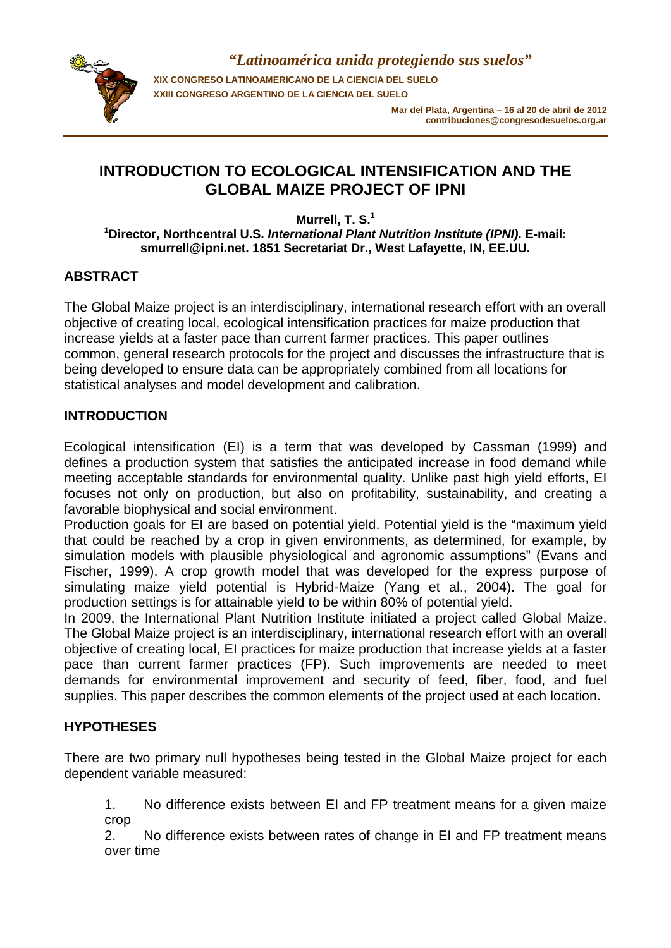

*"Latinoamérica unida protegiendo sus suelos"* **XIX CONGRESO LATINOAMERICANO DE LA CIENCIA DEL SUELO XXIII CONGRESO ARGENTINO DE LA CIENCIA DEL SUELO**

> **Mar del Plata, Argentina – 16 al 20 de abril de 2012 contribuciones@congresodesuelos.org.ar**

# **INTRODUCTION TO ECOLOGICAL INTENSIFICATION AND THE GLOBAL MAIZE PROJECT OF IPNI**

**Murrell, T. S.<sup>1</sup> 1 Director, Northcentral U.S.** *International Plant Nutrition Institute (IPNI)***. E-mail: smurrell@ipni.net. 1851 Secretariat Dr., West Lafayette, IN, EE.UU.** 

## **ABSTRACT**

The Global Maize project is an interdisciplinary, international research effort with an overall objective of creating local, ecological intensification practices for maize production that increase yields at a faster pace than current farmer practices. This paper outlines common, general research protocols for the project and discusses the infrastructure that is being developed to ensure data can be appropriately combined from all locations for statistical analyses and model development and calibration.

## **INTRODUCTION**

Ecological intensification (EI) is a term that was developed by Cassman (1999) and defines a production system that satisfies the anticipated increase in food demand while meeting acceptable standards for environmental quality. Unlike past high yield efforts, EI focuses not only on production, but also on profitability, sustainability, and creating a favorable biophysical and social environment.

Production goals for EI are based on potential yield. Potential yield is the "maximum yield that could be reached by a crop in given environments, as determined, for example, by simulation models with plausible physiological and agronomic assumptions" (Evans and Fischer, 1999). A crop growth model that was developed for the express purpose of simulating maize yield potential is Hybrid-Maize (Yang et al., 2004). The goal for production settings is for attainable yield to be within 80% of potential yield.

In 2009, the International Plant Nutrition Institute initiated a project called Global Maize. The Global Maize project is an interdisciplinary, international research effort with an overall objective of creating local, EI practices for maize production that increase yields at a faster pace than current farmer practices (FP). Such improvements are needed to meet demands for environmental improvement and security of feed, fiber, food, and fuel supplies. This paper describes the common elements of the project used at each location.

## **HYPOTHESES**

There are two primary null hypotheses being tested in the Global Maize project for each dependent variable measured:

1. No difference exists between EI and FP treatment means for a given maize crop

2. No difference exists between rates of change in EI and FP treatment means over time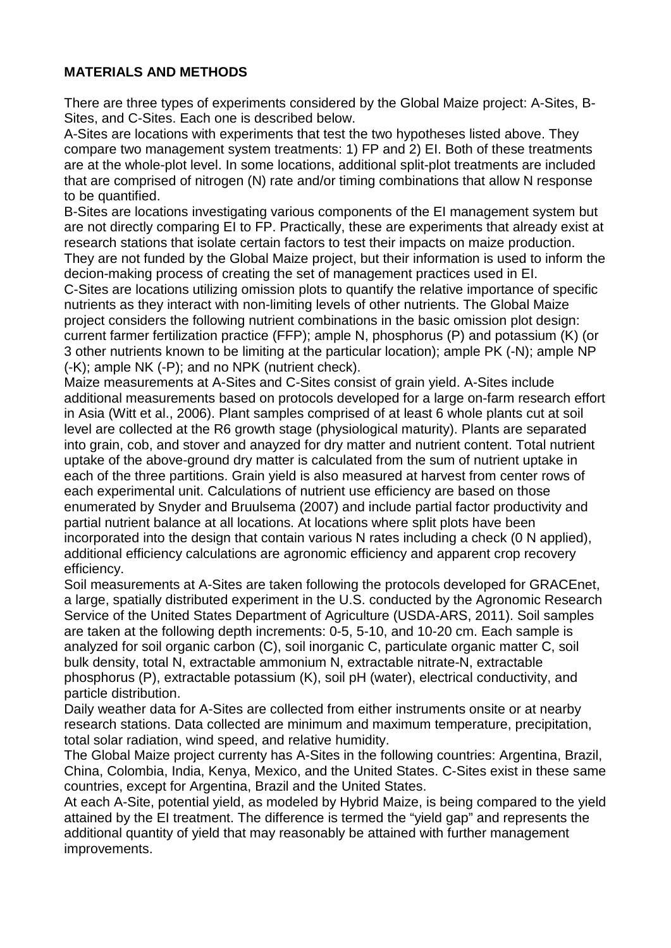## **MATERIALS AND METHODS**

There are three types of experiments considered by the Global Maize project: A-Sites, B-Sites, and C-Sites. Each one is described below.

A-Sites are locations with experiments that test the two hypotheses listed above. They compare two management system treatments: 1) FP and 2) EI. Both of these treatments are at the whole-plot level. In some locations, additional split-plot treatments are included that are comprised of nitrogen (N) rate and/or timing combinations that allow N response to be quantified.

B-Sites are locations investigating various components of the EI management system but are not directly comparing EI to FP. Practically, these are experiments that already exist at research stations that isolate certain factors to test their impacts on maize production. They are not funded by the Global Maize project, but their information is used to inform the decion-making process of creating the set of management practices used in EI. C-Sites are locations utilizing omission plots to quantify the relative importance of specific nutrients as they interact with non-limiting levels of other nutrients. The Global Maize project considers the following nutrient combinations in the basic omission plot design: current farmer fertilization practice (FFP); ample N, phosphorus (P) and potassium (K) (or 3 other nutrients known to be limiting at the particular location); ample PK (-N); ample NP (-K); ample NK (-P); and no NPK (nutrient check).

Maize measurements at A-Sites and C-Sites consist of grain yield. A-Sites include additional measurements based on protocols developed for a large on-farm research effort in Asia (Witt et al., 2006). Plant samples comprised of at least 6 whole plants cut at soil level are collected at the R6 growth stage (physiological maturity). Plants are separated into grain, cob, and stover and anayzed for dry matter and nutrient content. Total nutrient uptake of the above-ground dry matter is calculated from the sum of nutrient uptake in each of the three partitions. Grain yield is also measured at harvest from center rows of each experimental unit. Calculations of nutrient use efficiency are based on those enumerated by Snyder and Bruulsema (2007) and include partial factor productivity and partial nutrient balance at all locations. At locations where split plots have been incorporated into the design that contain various N rates including a check (0 N applied), additional efficiency calculations are agronomic efficiency and apparent crop recovery efficiency.

Soil measurements at A-Sites are taken following the protocols developed for GRACEnet, a large, spatially distributed experiment in the U.S. conducted by the Agronomic Research Service of the United States Department of Agriculture (USDA-ARS, 2011). Soil samples are taken at the following depth increments: 0-5, 5-10, and 10-20 cm. Each sample is analyzed for soil organic carbon (C), soil inorganic C, particulate organic matter C, soil bulk density, total N, extractable ammonium N, extractable nitrate-N, extractable phosphorus (P), extractable potassium (K), soil pH (water), electrical conductivity, and particle distribution.

Daily weather data for A-Sites are collected from either instruments onsite or at nearby research stations. Data collected are minimum and maximum temperature, precipitation, total solar radiation, wind speed, and relative humidity.

The Global Maize project currenty has A-Sites in the following countries: Argentina, Brazil, China, Colombia, India, Kenya, Mexico, and the United States. C-Sites exist in these same countries, except for Argentina, Brazil and the United States.

At each A-Site, potential yield, as modeled by Hybrid Maize, is being compared to the yield attained by the EI treatment. The difference is termed the "yield gap" and represents the additional quantity of yield that may reasonably be attained with further management improvements.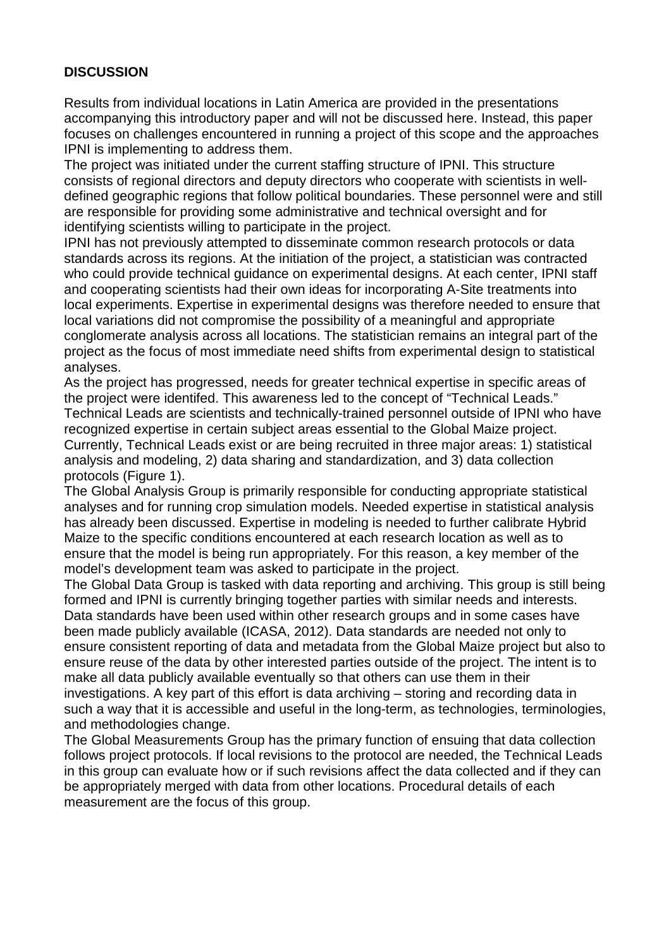## **DISCUSSION**

Results from individual locations in Latin America are provided in the presentations accompanying this introductory paper and will not be discussed here. Instead, this paper focuses on challenges encountered in running a project of this scope and the approaches IPNI is implementing to address them.

The project was initiated under the current staffing structure of IPNI. This structure consists of regional directors and deputy directors who cooperate with scientists in welldefined geographic regions that follow political boundaries. These personnel were and still are responsible for providing some administrative and technical oversight and for identifying scientists willing to participate in the project.

IPNI has not previously attempted to disseminate common research protocols or data standards across its regions. At the initiation of the project, a statistician was contracted who could provide technical guidance on experimental designs. At each center, IPNI staff and cooperating scientists had their own ideas for incorporating A-Site treatments into local experiments. Expertise in experimental designs was therefore needed to ensure that local variations did not compromise the possibility of a meaningful and appropriate conglomerate analysis across all locations. The statistician remains an integral part of the project as the focus of most immediate need shifts from experimental design to statistical analyses.

As the project has progressed, needs for greater technical expertise in specific areas of the project were identifed. This awareness led to the concept of "Technical Leads." Technical Leads are scientists and technically-trained personnel outside of IPNI who have recognized expertise in certain subject areas essential to the Global Maize project. Currently, Technical Leads exist or are being recruited in three major areas: 1) statistical analysis and modeling, 2) data sharing and standardization, and 3) data collection protocols (Figure 1).

The Global Analysis Group is primarily responsible for conducting appropriate statistical analyses and for running crop simulation models. Needed expertise in statistical analysis has already been discussed. Expertise in modeling is needed to further calibrate Hybrid Maize to the specific conditions encountered at each research location as well as to ensure that the model is being run appropriately. For this reason, a key member of the model's development team was asked to participate in the project.

The Global Data Group is tasked with data reporting and archiving. This group is still being formed and IPNI is currently bringing together parties with similar needs and interests. Data standards have been used within other research groups and in some cases have been made publicly available (ICASA, 2012). Data standards are needed not only to ensure consistent reporting of data and metadata from the Global Maize project but also to ensure reuse of the data by other interested parties outside of the project. The intent is to make all data publicly available eventually so that others can use them in their investigations. A key part of this effort is data archiving – storing and recording data in such a way that it is accessible and useful in the long-term, as technologies, terminologies, and methodologies change.

The Global Measurements Group has the primary function of ensuing that data collection follows project protocols. If local revisions to the protocol are needed, the Technical Leads in this group can evaluate how or if such revisions affect the data collected and if they can be appropriately merged with data from other locations. Procedural details of each measurement are the focus of this group.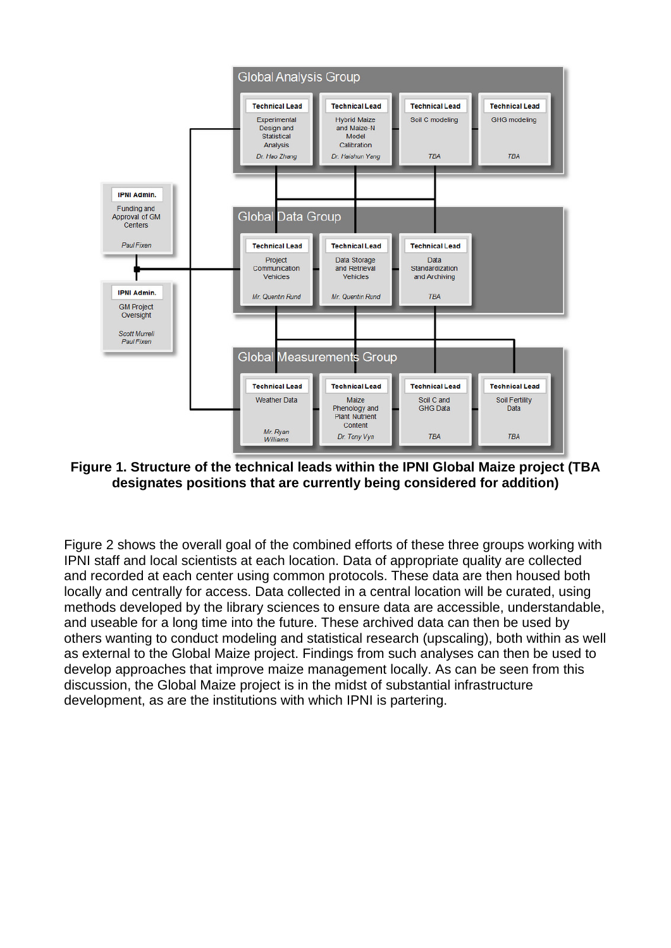

**Figure 1. Structure of the technical leads within the IPNI Global Maize project (TBA designates positions that are currently being considered for addition)**

Figure 2 shows the overall goal of the combined efforts of these three groups working with IPNI staff and local scientists at each location. Data of appropriate quality are collected and recorded at each center using common protocols. These data are then housed both locally and centrally for access. Data collected in a central location will be curated, using methods developed by the library sciences to ensure data are accessible, understandable, and useable for a long time into the future. These archived data can then be used by others wanting to conduct modeling and statistical research (upscaling), both within as well as external to the Global Maize project. Findings from such analyses can then be used to develop approaches that improve maize management locally. As can be seen from this discussion, the Global Maize project is in the midst of substantial infrastructure development, as are the institutions with which IPNI is partering.